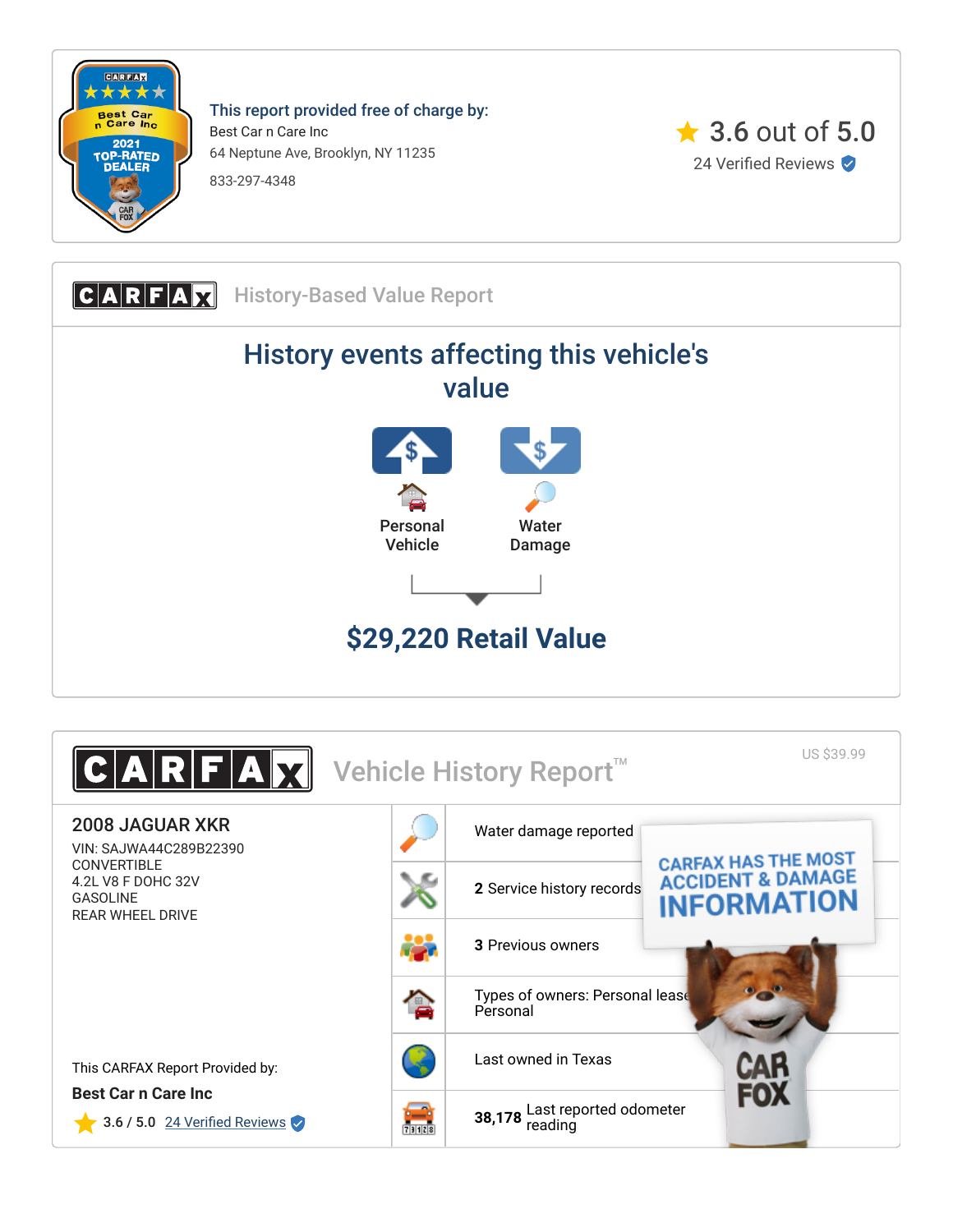

This report provided free of charge by: Best Car n Care Inc 64 Neptune Ave, Brooklyn, NY 11235 833-297-4348



CARFAX History-Based Value Report History events affecting this vehicle's value Personal Vehicle **Water** Damage **\$29,220 Retail Value**

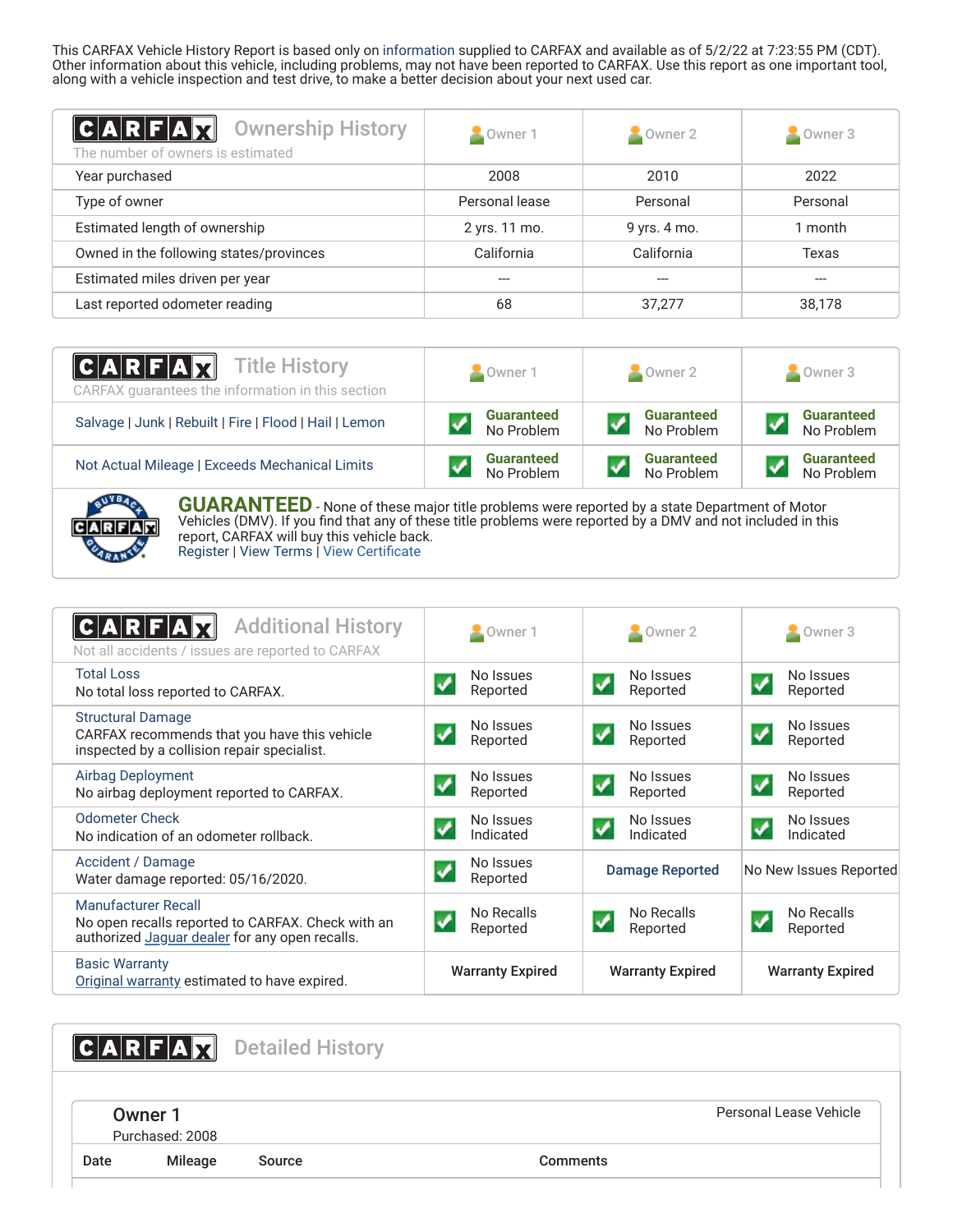This CARFAX Vehicle History Report is based only on [information](http://www.carfax.com/company/vhr-data-sources) supplied to CARFAX and available as of 5/2/22 at 7:23:55 PM (CDT). Other information about this vehicle, including problems, may not have been reported to CARFAX. Use this report as one important tool, along with a vehicle inspection and test drive, to make a better decision about your next used car.

<span id="page-1-2"></span>

| <b>Ownership History</b><br> C A R F A Y <br>The number of owners is estimated | Owner 1        | Owner 2<br>×. | Owner 3  |
|--------------------------------------------------------------------------------|----------------|---------------|----------|
| Year purchased                                                                 | 2008           | 2010          | 2022     |
| Type of owner                                                                  | Personal lease | Personal      | Personal |
| Estimated length of ownership                                                  | 2 yrs. 11 mo.  | 9 yrs. 4 mo.  | 1 month  |
| Owned in the following states/provinces                                        | California     | California    | Texas    |
| Estimated miles driven per year                                                |                | ---           | ---      |
| Last reported odometer reading                                                 | 68             | 37,277        | 38,178   |

| $ C A R F A \chi$<br><b>Title History</b><br>CARFAX quarantees the information in this section | Owner 1           | $\sim$ Owner 2    | Owner 3           |  |
|------------------------------------------------------------------------------------------------|-------------------|-------------------|-------------------|--|
| Salvage   Junk   Rebuilt   Fire   Flood   Hail   Lemon                                         | <b>Guaranteed</b> | <b>Guaranteed</b> | <b>Guaranteed</b> |  |
|                                                                                                | No Problem        | No Problem        | No Problem        |  |
| Not Actual Mileage   Exceeds Mechanical Limits                                                 | <b>Guaranteed</b> | <b>Guaranteed</b> | <b>Guaranteed</b> |  |
|                                                                                                | No Problem        | No Problem        | No Problem        |  |



**GUARANTEED** - None of these major title problems were reported by a state Department of Motor Vehicles (DMV). If you find that any of these title problems were reported by a DMV and not included in this report, CARFAX will buy this vehicle back. [Register](https://www.carfax.com/Service/bbg) | [View Terms](http://www.carfaxonline.com/legal/bbgTerms) | [View Certificate](https://www.carfaxonline.com/vhrs/SAJWA44C289B22390)

<span id="page-1-0"></span>

| <b>Additional History</b><br>C A R F A<br>Not all accidents / issues are reported to CARFAX                                | Owner 1                               | $\sim$ Owner 2                                     | $\blacksquare$ Owner 3                              |
|----------------------------------------------------------------------------------------------------------------------------|---------------------------------------|----------------------------------------------------|-----------------------------------------------------|
| <b>Total Loss</b><br>No total loss reported to CARFAX.                                                                     | No Issues<br>Reported                 | No Issues<br>Reported                              | No Issues<br>Reported                               |
| <b>Structural Damage</b><br>CARFAX recommends that you have this vehicle<br>inspected by a collision repair specialist.    | No Issues<br>Reported                 | No Issues<br>$\overline{\mathbf{v}}$<br>Reported   | No Issues<br>Reported                               |
| <b>Airbag Deployment</b><br>No airbag deployment reported to CARFAX.                                                       | No Issues<br>$\checkmark$<br>Reported | No Issues<br>$\overline{\mathcal{L}}$<br>Reported  | No Issues<br>$\boldsymbol{\mathcal{S}}$<br>Reported |
| <b>Odometer Check</b><br>No indication of an odometer rollback.                                                            | No Issues<br>Indicated                | No Issues<br>$\overline{\mathcal{L}}$<br>Indicated | No Issues<br>$\blacklozenge$<br>Indicated           |
| Accident / Damage<br>Water damage reported: 05/16/2020.                                                                    | No Issues<br>Reported                 | <b>Damage Reported</b>                             | No New Issues Reported                              |
| Manufacturer Recall<br>No open recalls reported to CARFAX. Check with an<br>authorized Jaguar dealer for any open recalls. | No Recalls<br>✔<br>Reported           | No Recalls<br>Reported                             | No Recalls<br>Reported                              |
| <b>Basic Warranty</b><br>Original warranty estimated to have expired.                                                      | <b>Warranty Expired</b>               | <b>Warranty Expired</b>                            | <b>Warranty Expired</b>                             |

<span id="page-1-1"></span>

|      |                            | <b>CARFAX</b> Detailed History |                 |                        |
|------|----------------------------|--------------------------------|-----------------|------------------------|
|      | Owner 1<br>Purchased: 2008 |                                |                 | Personal Lease Vehicle |
| Date | Mileage                    | Source                         | <b>Comments</b> |                        |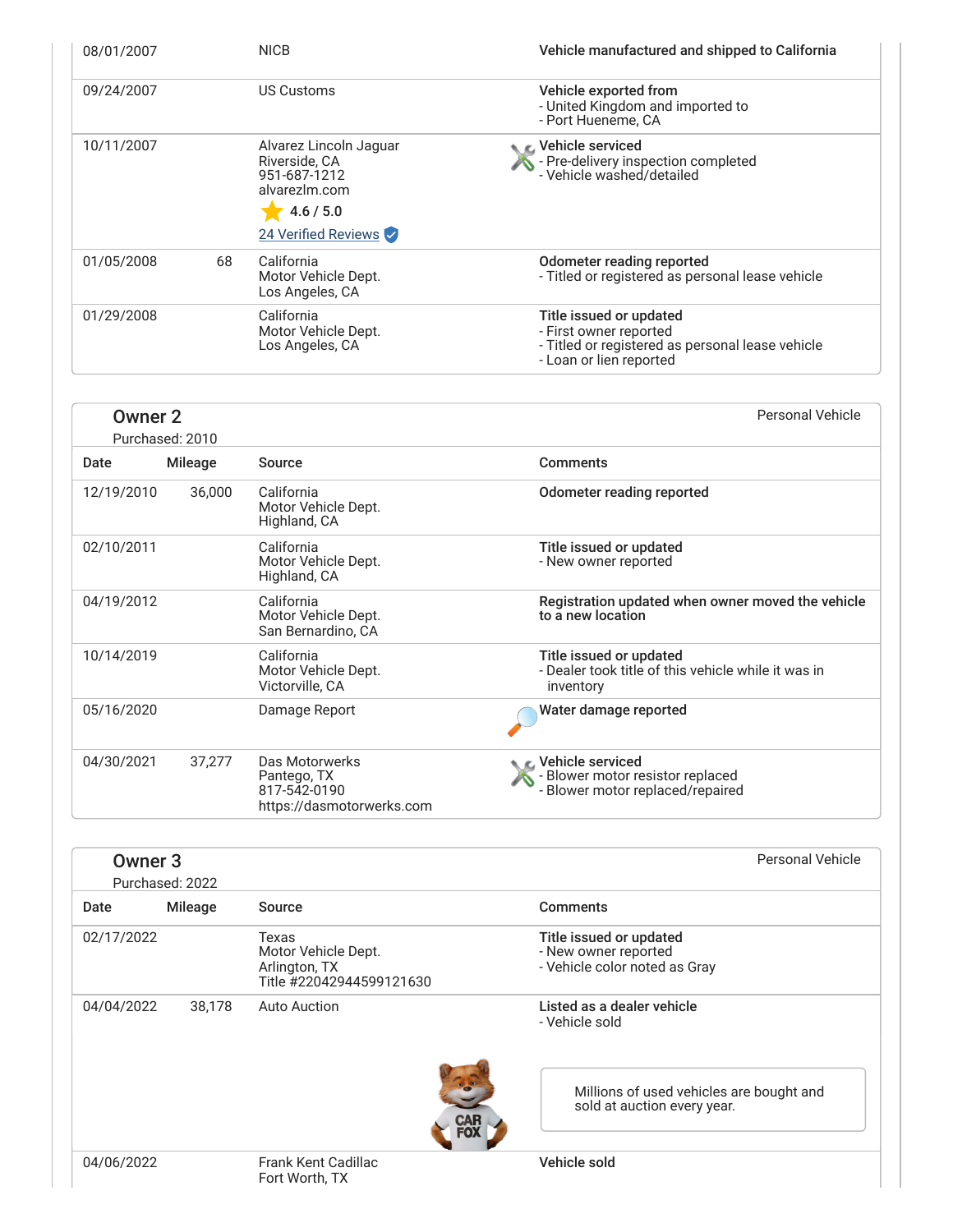| 08/01/2007 |    | <b>NICB</b>                                                                                                  | Vehicle manufactured and shipped to California                                                                                   |
|------------|----|--------------------------------------------------------------------------------------------------------------|----------------------------------------------------------------------------------------------------------------------------------|
| 09/24/2007 |    | US Customs                                                                                                   | Vehicle exported from<br>- United Kingdom and imported to<br>- Port Hueneme, CA                                                  |
| 10/11/2007 |    | Alvarez Lincoln Jaguar<br>Riverside, CA<br>951-687-1212<br>alvarezlm.com<br>4.6 / 5.0<br>24 Verified Reviews | C Vehicle serviced<br>$\sqrt{\phantom{a}}$ - Pre-delivery inspection completed<br>- Vehicle washed/detailed                      |
| 01/05/2008 | 68 | California<br>Motor Vehicle Dept.<br>Los Angeles, CA                                                         | Odometer reading reported<br>- Titled or registered as personal lease vehicle                                                    |
| 01/29/2008 |    | California<br>Motor Vehicle Dept.<br>Los Angeles, CA                                                         | Title issued or updated<br>- First owner reported<br>- Titled or registered as personal lease vehicle<br>- Loan or lien reported |

<span id="page-2-0"></span>

| Owner 2    | Purchased: 2010 |                                                                            | Personal Vehicle                                                                            |
|------------|-----------------|----------------------------------------------------------------------------|---------------------------------------------------------------------------------------------|
| Date       | <b>Mileage</b>  | Source                                                                     | <b>Comments</b>                                                                             |
| 12/19/2010 | 36,000          | California<br>Motor Vehicle Dept.<br>Highland, CA                          | Odometer reading reported                                                                   |
| 02/10/2011 |                 | California<br>Motor Vehicle Dept.<br>Highland, CA                          | Title issued or updated<br>- New owner reported                                             |
| 04/19/2012 |                 | California<br>Motor Vehicle Dept.<br>San Bernardino, CA                    | Registration updated when owner moved the vehicle<br>to a new location                      |
| 10/14/2019 |                 | California<br>Motor Vehicle Dept.<br>Victorville, CA                       | Title issued or updated<br>- Dealer took title of this vehicle while it was in<br>inventory |
| 05/16/2020 |                 | Damage Report                                                              | Water damage reported                                                                       |
| 04/30/2021 | 37,277          | Das Motorwerks<br>Pantego, TX<br>817-542-0190<br>https://dasmotorwerks.com | C Vehicle serviced<br>- Blower motor resistor replaced<br>- Blower motor replaced/repaired  |

| Owner <sub>3</sub> | Purchased: 2022 |                                                                           | Personal Vehicle                                                                                                        |
|--------------------|-----------------|---------------------------------------------------------------------------|-------------------------------------------------------------------------------------------------------------------------|
| Date               | Mileage         | Source                                                                    | <b>Comments</b>                                                                                                         |
| 02/17/2022         |                 | Texas<br>Motor Vehicle Dept.<br>Arlington, TX<br>Title #22042944599121630 | Title issued or updated<br>- New owner reported<br>- Vehicle color noted as Gray                                        |
| 04/04/2022         | 38,178          | <b>Auto Auction</b><br><b>CA.</b><br>FO)                                  | Listed as a dealer vehicle<br>- Vehicle sold<br>Millions of used vehicles are bought and<br>sold at auction every year. |